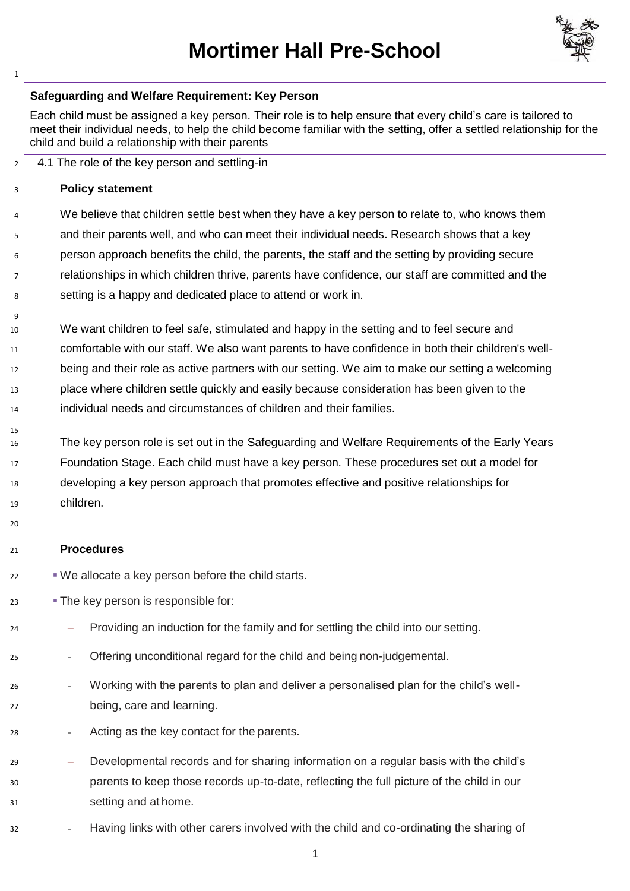## **Mortimer Hall Pre-School**



## **Safeguarding and Welfare Requirement: Key Person**

Each child must be assigned a key person. Their role is to help ensure that every child's care is tailored to meet their individual needs, to help the child become familiar with the setting, offer a settled relationship for the child and build a relationship with their parents

4.1 The role of the key person and settling-in

## **Policy statement**

 $\overline{q}$ 

4 We believe that children settle best when they have a key person to relate to, who knows them and their parents well, and who can meet their individual needs. Research shows that a key person approach benefits the child, the parents, the staff and the setting by providing secure relationships in which children thrive, parents have confidence, our staff are committed and the setting is a happy and dedicated place to attend or work in.

- We want children to feel safe, stimulated and happy in the setting and to feel secure and comfortable with our staff. We also want parents to have confidence in both their children's well-12 being and their role as active partners with our setting. We aim to make our setting a welcoming place where children settle quickly and easily because consideration has been given to the individual needs and circumstances of children and their families.
- The key person role is set out in the Safeguarding and Welfare Requirements of the Early Years Foundation Stage. Each child must have a key person. These procedures set out a model for developing a key person approach that promotes effective and positive relationships for children.

## **Procedures**

- $\blacksquare$  We allocate a key person before the child starts.
- 23 The key person is responsible for:
- − Providing an induction for the family and for settling the child into our setting.
- − Offering unconditional regard for the child and being non-judgemental.
- − Working with the parents to plan and deliver a personalised plan for the child's well-being, care and learning.
- 28 **Fig.**  $\alpha$  Acting as the key contact for the parents.
- − Developmental records and for sharing information on a regular basis with the child's parents to keep those records up-to-date, reflecting the full picture of the child in our setting and at home.
- − Having links with other carers involved with the child and co-ordinating the sharing of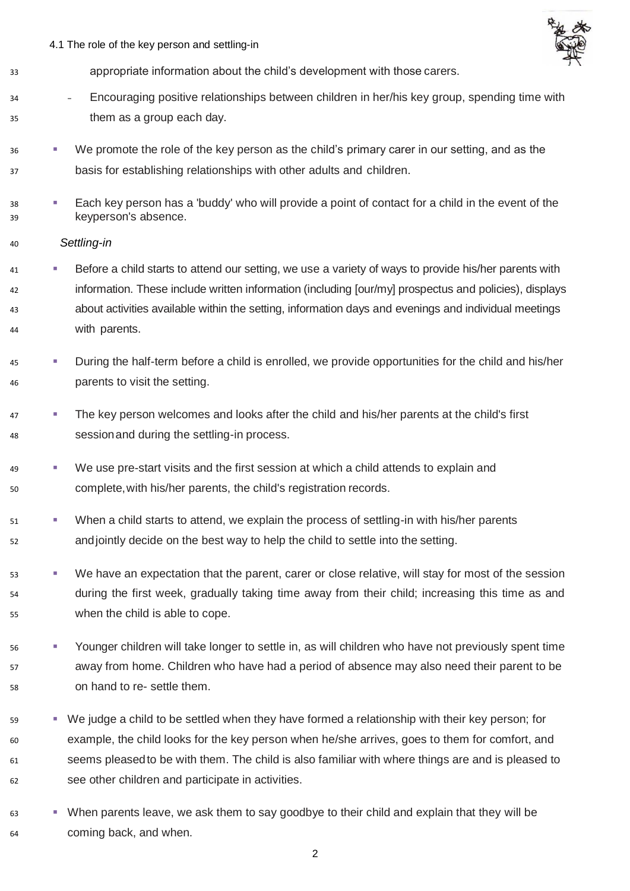4.1 The role of the key person and settling-in



- appropriate information about the child's development with those carers.
- − Encouraging positive relationships between children in her/his key group, spending time with them as a group each day.
- <sup>36</sup> We promote the role of the key person as the child's primary carer in our setting, and as the basis for establishing relationships with other adults and children.
- Each key person has a 'buddy' who will provide a point of contact for a child in the event of the keyperson's absence.
- *Settling-in*
- 41 Before a child starts to attend our setting, we use a variety of ways to provide his/her parents with information. These include written information (including [our/my] prospectus and policies), displays about activities available within the setting, information days and evenings and individual meetings with parents.
- **During the half-term before a child is enrolled, we provide opportunities for the child and his/her** parents to visit the setting.
- <sup>47</sup> The key person welcomes and looks after the child and his/her parents at the child's first sessionand during the settling-in process.
- 49 We use pre-start visits and the first session at which a child attends to explain and complete,with his/her parents, the child's registration records.
- 51 When a child starts to attend, we explain the process of settling-in with his/her parents andjointly decide on the best way to help the child to settle into the setting.
- 53 We have an expectation that the parent, carer or close relative, will stay for most of the session during the first week, gradually taking time away from their child; increasing this time as and when the child is able to cope.
- Younger children will take longer to settle in, as will children who have not previously spent time away from home. Children who have had a period of absence may also need their parent to be on hand to re- settle them.
- 59 We judge a child to be settled when they have formed a relationship with their key person; for example, the child looks for the key person when he/she arrives, goes to them for comfort, and seems pleasedto be with them. The child is also familiar with where things are and is pleased to see other children and participate in activities.
- When parents leave, we ask them to say goodbye to their child and explain that they will be coming back, and when.